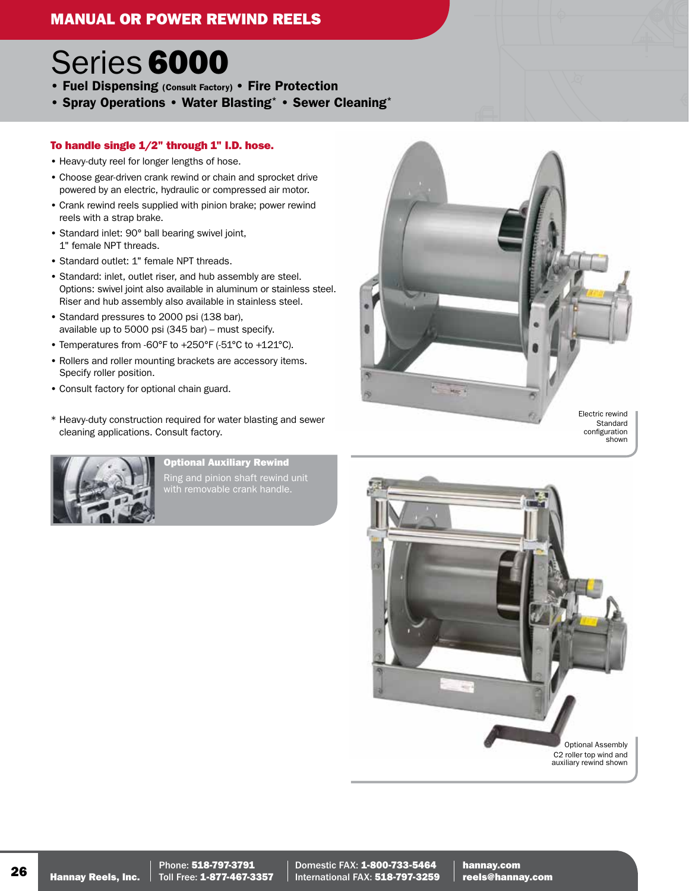# MANUAL OR POWER REWIND REELS<br>Example: The Manual Service of the Manual Service of the Manual Service of the Manual Service of the Manual Service of the Manual Service of the Manual Service of the Manual Service of the Manu

## Series 6000

- Fuel Dispensing (Consult Factory) Fire Protection
- Spray Operations Water Blasting\* Sewer Cleaning\*

### To handle single 1/2" through 1" I.D. hose.

- Heavy-duty reel for longer lengths of hose.
- Choose gear-driven crank rewind or chain and sprocket drive powered by an electric, hydraulic or compressed air motor.
- Crank rewind reels supplied with pinion brake; power rewind reels with a strap brake.
- Standard inlet: 90° ball bearing swivel joint, 1" female NPT threads.
- Standard outlet: 1" female NPT threads.
- Standard: inlet, outlet riser, and hub assembly are steel.<br>• Standard: inlet, outlet riser, and hub assembly are steel.<br>Options: swivel ioint also available in aluminum or stainles Options: swivel joint also available in aluminum or stainless steel. Riser and hub assembly also available in stainless steel.
- A available up to 5000 psi (345 bar) must specify. • Standard pressures to 2000 psi (138 bar),
- Temperatures from -60°F to +250°F (-51°C to +121°C).
- France and rener meaning stasheds are<br>Specify roller position.<br>• Consult factory for optional chain guard. • Rollers and roller mounting brackets are accessory items. Specify roller position.
- 
- \* Heavy-duty construction required for water blasting and sewer cleaning applications. Consult factory.



Optional Auxiliary Rewind Ring and pinion shaft rewind unit





Domestic FAX: 1-800-733-5464 International FAX: 518-797-3259 hannay.com reels@hannay.com